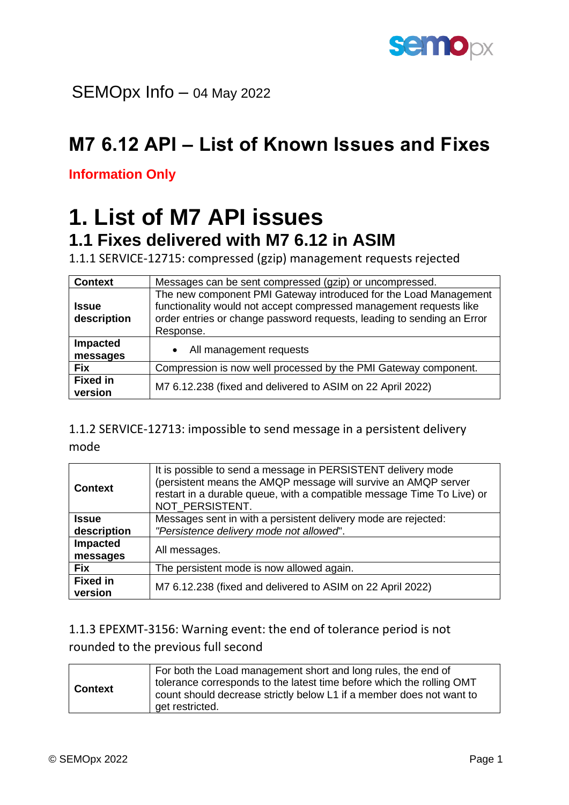

SEMOpx Info – 04 May 2022

## **M7 6.12 API – List of Known Issues and Fixes**

**Information Only**

## **1. List of M7 API issues 1.1 Fixes delivered with M7 6.12 in ASIM**

1.1.1 SERVICE-12715: compressed (gzip) management requests rejected

| <b>Context</b>              | Messages can be sent compressed (gzip) or uncompressed.                                                                                                                                                                       |
|-----------------------------|-------------------------------------------------------------------------------------------------------------------------------------------------------------------------------------------------------------------------------|
| <b>Issue</b><br>description | The new component PMI Gateway introduced for the Load Management<br>functionality would not accept compressed management requests like<br>order entries or change password requests, leading to sending an Error<br>Response. |
| Impacted<br>messages        | All management requests<br>$\bullet$                                                                                                                                                                                          |
| <b>Fix</b>                  | Compression is now well processed by the PMI Gateway component.                                                                                                                                                               |
| <b>Fixed in</b><br>version  | M7 6.12.238 (fixed and delivered to ASIM on 22 April 2022)                                                                                                                                                                    |

1.1.2 SERVICE-12713: impossible to send message in a persistent delivery mode

| <b>Context</b>             | It is possible to send a message in PERSISTENT delivery mode<br>(persistent means the AMQP message will survive an AMQP server<br>restart in a durable queue, with a compatible message Time To Live) or<br>NOT PERSISTENT. |
|----------------------------|-----------------------------------------------------------------------------------------------------------------------------------------------------------------------------------------------------------------------------|
| Issue                      | Messages sent in with a persistent delivery mode are rejected:                                                                                                                                                              |
| description                | "Persistence delivery mode not allowed".                                                                                                                                                                                    |
| Impacted                   | All messages.                                                                                                                                                                                                               |
| messages                   |                                                                                                                                                                                                                             |
| <b>Fix</b>                 | The persistent mode is now allowed again.                                                                                                                                                                                   |
| <b>Fixed in</b><br>version | M7 6.12.238 (fixed and delivered to ASIM on 22 April 2022)                                                                                                                                                                  |

1.1.3 EPEXMT-3156: Warning event: the end of tolerance period is not rounded to the previous full second

| <b>Context</b> | For both the Load management short and long rules, the end of<br>tolerance corresponds to the latest time before which the rolling OMT<br>count should decrease strictly below L1 if a member does not want to<br>get restricted. |
|----------------|-----------------------------------------------------------------------------------------------------------------------------------------------------------------------------------------------------------------------------------|
|----------------|-----------------------------------------------------------------------------------------------------------------------------------------------------------------------------------------------------------------------------------|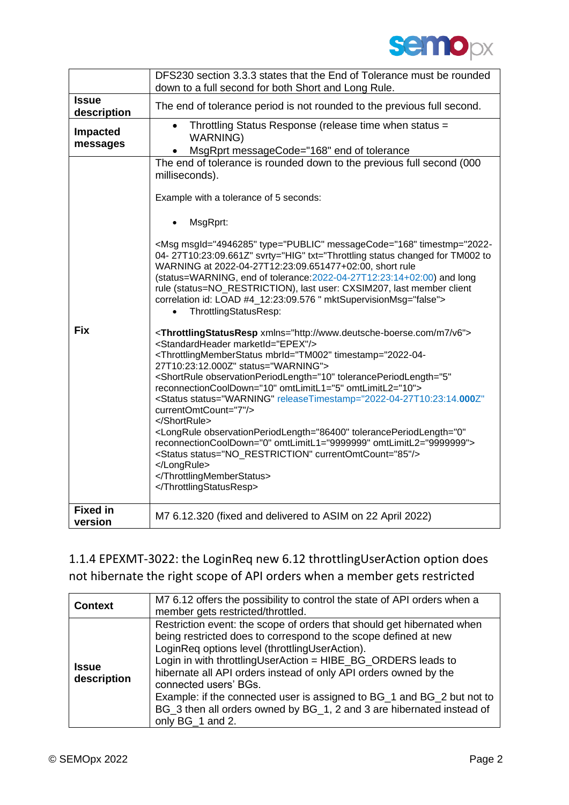

|                 | DFS230 section 3.3.3 states that the End of Tolerance must be rounded<br>down to a full second for both Short and Long Rule.                                                                                                                                                                                                                                                                                                                                                                                                                                                                                                                |
|-----------------|---------------------------------------------------------------------------------------------------------------------------------------------------------------------------------------------------------------------------------------------------------------------------------------------------------------------------------------------------------------------------------------------------------------------------------------------------------------------------------------------------------------------------------------------------------------------------------------------------------------------------------------------|
| <b>Issue</b>    |                                                                                                                                                                                                                                                                                                                                                                                                                                                                                                                                                                                                                                             |
| description     | The end of tolerance period is not rounded to the previous full second.                                                                                                                                                                                                                                                                                                                                                                                                                                                                                                                                                                     |
| <b>Impacted</b> | Throttling Status Response (release time when status =<br>$\bullet$                                                                                                                                                                                                                                                                                                                                                                                                                                                                                                                                                                         |
| messages        | <b>WARNING)</b>                                                                                                                                                                                                                                                                                                                                                                                                                                                                                                                                                                                                                             |
|                 | MsgRprt messageCode="168" end of tolerance                                                                                                                                                                                                                                                                                                                                                                                                                                                                                                                                                                                                  |
|                 | The end of tolerance is rounded down to the previous full second (000                                                                                                                                                                                                                                                                                                                                                                                                                                                                                                                                                                       |
|                 | milliseconds).                                                                                                                                                                                                                                                                                                                                                                                                                                                                                                                                                                                                                              |
|                 | Example with a tolerance of 5 seconds:                                                                                                                                                                                                                                                                                                                                                                                                                                                                                                                                                                                                      |
|                 |                                                                                                                                                                                                                                                                                                                                                                                                                                                                                                                                                                                                                                             |
|                 | MsgRprt:                                                                                                                                                                                                                                                                                                                                                                                                                                                                                                                                                                                                                                    |
|                 | <msg messagecode="168" mktsupervisionmsg="false" msgld="4946285" svrty="HIG" timestmp="2022-&lt;br&gt;04-27T10:23:09.661Z" txt="Throttling status changed for TM002 to&lt;br&gt;WARNING at 2022-04-27T12:23:09.651477+02:00, short rule&lt;/th&gt;&lt;/tr&gt;&lt;tr&gt;&lt;th&gt;&lt;/th&gt;&lt;th&gt;(status=WARNING, end of tolerance: 2022-04-27T12: 23:14+02:00) and long&lt;/th&gt;&lt;/tr&gt;&lt;tr&gt;&lt;th&gt;&lt;/th&gt;&lt;th&gt;rule (status=NO_RESTRICTION), last user: CXSIM207, last member client&lt;/th&gt;&lt;/tr&gt;&lt;tr&gt;&lt;th&gt;&lt;/th&gt;&lt;th&gt;correlation id: LOAD #4_12:23:09.576 " type="PUBLIC"></msg> |
|                 | ThrottlingStatusResp:<br>$\bullet$                                                                                                                                                                                                                                                                                                                                                                                                                                                                                                                                                                                                          |
| <b>Fix</b>      | <throttlingstatusresp xmlns="http://www.deutsche-boerse.com/m7/v6"><br/><standardheader marketid="EPEX"></standardheader></throttlingstatusresp>                                                                                                                                                                                                                                                                                                                                                                                                                                                                                            |
|                 | <throttlingmemberstatus mbrid="TM002" status="WARNING" timestamp="2022-04-&lt;/th&gt;&lt;/tr&gt;&lt;tr&gt;&lt;th&gt;&lt;/th&gt;&lt;th&gt;27T10:23:12.000Z"><br/><shortrule <="" observationperiodlength="10" th="" toleranceperiodlength="5"></shortrule></throttlingmemberstatus>                                                                                                                                                                                                                                                                                                                                                          |
|                 | reconnectionCoolDown="10" omtLimitL1="5" omtLimitL2="10">                                                                                                                                                                                                                                                                                                                                                                                                                                                                                                                                                                                   |
|                 | <status <="" releasetimestamp="2022-04-27T10:23:14.000Z" status="WARNING" th=""></status>                                                                                                                                                                                                                                                                                                                                                                                                                                                                                                                                                   |
|                 | currentOmtCount="7"/>                                                                                                                                                                                                                                                                                                                                                                                                                                                                                                                                                                                                                       |
|                 | <br><longrule <="" observationperiodlength="86400" th="" toleranceperiodlength="0"></longrule>                                                                                                                                                                                                                                                                                                                                                                                                                                                                                                                                              |
|                 | reconnectionCoolDown="0" omtLimitL1="9999999" omtLimitL2="9999999">                                                                                                                                                                                                                                                                                                                                                                                                                                                                                                                                                                         |
|                 | <status currentomtcount="85" status="NO_RESTRICTION"></status>                                                                                                                                                                                                                                                                                                                                                                                                                                                                                                                                                                              |
|                 | <br>                                                                                                                                                                                                                                                                                                                                                                                                                                                                                                                                                                                                                                        |
|                 |                                                                                                                                                                                                                                                                                                                                                                                                                                                                                                                                                                                                                                             |
|                 |                                                                                                                                                                                                                                                                                                                                                                                                                                                                                                                                                                                                                                             |
| <b>Fixed in</b> | M7 6.12.320 (fixed and delivered to ASIM on 22 April 2022)                                                                                                                                                                                                                                                                                                                                                                                                                                                                                                                                                                                  |
| version         |                                                                                                                                                                                                                                                                                                                                                                                                                                                                                                                                                                                                                                             |

1.1.4 EPEXMT-3022: the LoginReq new 6.12 throttlingUserAction option does not hibernate the right scope of API orders when a member gets restricted

| <b>Context</b>              | M7 6.12 offers the possibility to control the state of API orders when a<br>member gets restricted/throttled.                                                                                                                                                                                                                                                                                                                                                                                                                   |
|-----------------------------|---------------------------------------------------------------------------------------------------------------------------------------------------------------------------------------------------------------------------------------------------------------------------------------------------------------------------------------------------------------------------------------------------------------------------------------------------------------------------------------------------------------------------------|
| <b>Issue</b><br>description | Restriction event: the scope of orders that should get hibernated when<br>being restricted does to correspond to the scope defined at new<br>LoginReq options level (throttlingUserAction).<br>Login in with throttlingUserAction = HIBE_BG_ORDERS leads to<br>hibernate all API orders instead of only API orders owned by the<br>connected users' BGs.<br>Example: if the connected user is assigned to BG_1 and BG_2 but not to<br>BG_3 then all orders owned by BG_1, 2 and 3 are hibernated instead of<br>only BG_1 and 2. |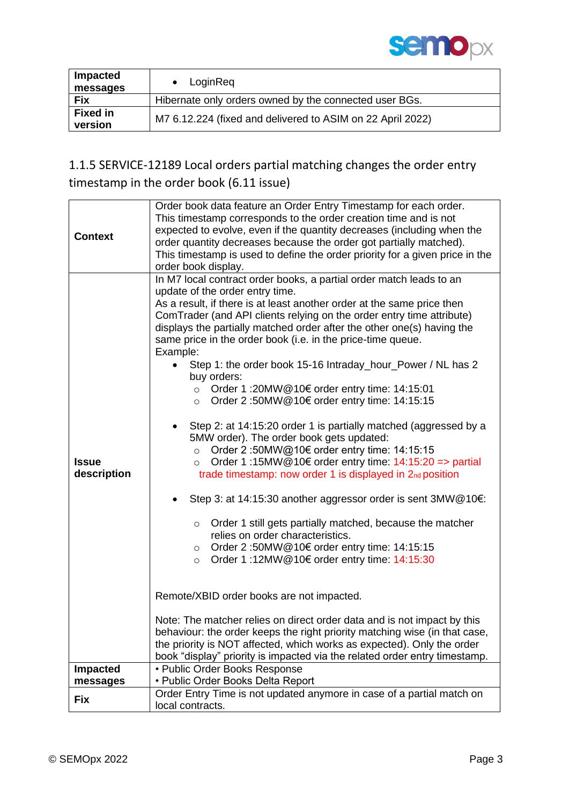

| Impacted<br>messages       | LoginReq                                                   |
|----------------------------|------------------------------------------------------------|
| <b>Fix</b>                 | Hibernate only orders owned by the connected user BGs.     |
| <b>Fixed in</b><br>version | M7 6.12.224 (fixed and delivered to ASIM on 22 April 2022) |

### 1.1.5 SERVICE-12189 Local orders partial matching changes the order entry timestamp in the order book (6.11 issue)

| <b>Context</b>              | Order book data feature an Order Entry Timestamp for each order.<br>This timestamp corresponds to the order creation time and is not<br>expected to evolve, even if the quantity decreases (including when the<br>order quantity decreases because the order got partially matched).<br>This timestamp is used to define the order priority for a given price in the<br>order book display.                                                                                                                                                                                                                                                                                                                                                                                                                                                                                                                                                                                                                                                                                                                                                                                                                                                                                                                                                                                                                                                                                                                                                                                                              |
|-----------------------------|----------------------------------------------------------------------------------------------------------------------------------------------------------------------------------------------------------------------------------------------------------------------------------------------------------------------------------------------------------------------------------------------------------------------------------------------------------------------------------------------------------------------------------------------------------------------------------------------------------------------------------------------------------------------------------------------------------------------------------------------------------------------------------------------------------------------------------------------------------------------------------------------------------------------------------------------------------------------------------------------------------------------------------------------------------------------------------------------------------------------------------------------------------------------------------------------------------------------------------------------------------------------------------------------------------------------------------------------------------------------------------------------------------------------------------------------------------------------------------------------------------------------------------------------------------------------------------------------------------|
| <b>Issue</b><br>description | In M7 local contract order books, a partial order match leads to an<br>update of the order entry time.<br>As a result, if there is at least another order at the same price then<br>ComTrader (and API clients relying on the order entry time attribute)<br>displays the partially matched order after the other one(s) having the<br>same price in the order book (i.e. in the price-time queue.<br>Example:<br>Step 1: the order book 15-16 Intraday_hour_Power / NL has 2<br>buy orders:<br>Order 1 :20MW@10€ order entry time: 14:15:01<br>$\circ$<br>Order 2:50MW@10€ order entry time: 14:15:15<br>$\circ$<br>Step 2: at 14:15:20 order 1 is partially matched (aggressed by a<br>5MW order). The order book gets updated:<br>Order 2 :50MW@10€ order entry time: 14:15:15<br>$\circ$<br>Order 1:15MW@10 $\epsilon$ order entry time: 14:15:20 => partial<br>$\circ$<br>trade timestamp: now order 1 is displayed in 2nd position<br>Step 3: at 14:15:30 another aggressor order is sent 3MW@10€:<br>Order 1 still gets partially matched, because the matcher<br>$\circ$<br>relies on order characteristics.<br>Order 2 :50MW@10€ order entry time: 14:15:15<br>$\circ$<br>Order 1 :12MW@10€ order entry time: 14:15:30<br>$\circ$<br>Remote/XBID order books are not impacted.<br>Note: The matcher relies on direct order data and is not impact by this<br>behaviour: the order keeps the right priority matching wise (in that case,<br>the priority is NOT affected, which works as expected). Only the order<br>book "display" priority is impacted via the related order entry timestamp. |
| <b>Impacted</b>             | • Public Order Books Response                                                                                                                                                                                                                                                                                                                                                                                                                                                                                                                                                                                                                                                                                                                                                                                                                                                                                                                                                                                                                                                                                                                                                                                                                                                                                                                                                                                                                                                                                                                                                                            |
| messages                    | • Public Order Books Delta Report                                                                                                                                                                                                                                                                                                                                                                                                                                                                                                                                                                                                                                                                                                                                                                                                                                                                                                                                                                                                                                                                                                                                                                                                                                                                                                                                                                                                                                                                                                                                                                        |
| Fix                         | Order Entry Time is not updated anymore in case of a partial match on<br>local contracts.                                                                                                                                                                                                                                                                                                                                                                                                                                                                                                                                                                                                                                                                                                                                                                                                                                                                                                                                                                                                                                                                                                                                                                                                                                                                                                                                                                                                                                                                                                                |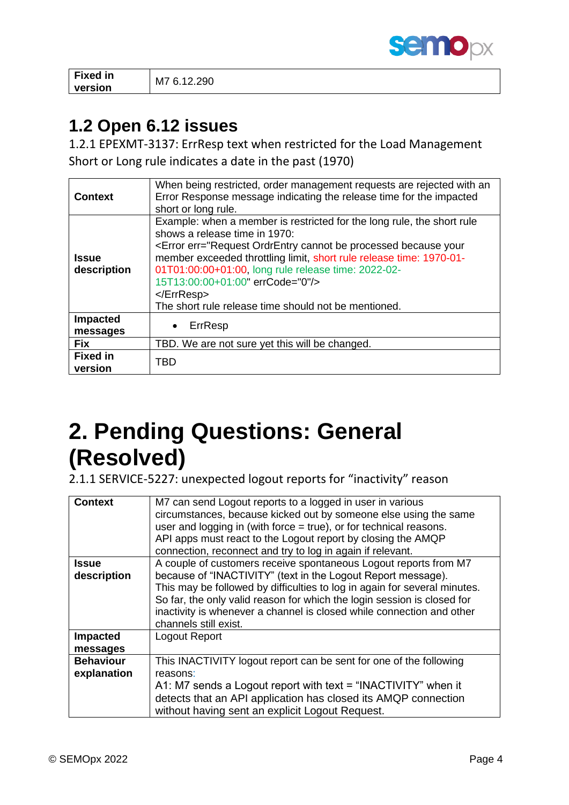

**Fixed in version** M7 6.12.290

### **1.2 Open 6.12 issues**

1.2.1 EPEXMT-3137: ErrResp text when restricted for the Load Management Short or Long rule indicates a date in the past (1970)

| <b>Context</b>              | When being restricted, order management requests are rejected with an<br>Error Response message indicating the release time for the impacted<br>short or long rule.                                                                                                                                                                                                                                                                           |
|-----------------------------|-----------------------------------------------------------------------------------------------------------------------------------------------------------------------------------------------------------------------------------------------------------------------------------------------------------------------------------------------------------------------------------------------------------------------------------------------|
| <b>Issue</b><br>description | Example: when a member is restricted for the long rule, the short rule<br>shows a release time in 1970:<br><error err="Request OrdrEntry cannot be processed because your&lt;br&gt;member exceeded throttling limit, short rule release time: 1970-01-&lt;br&gt;01T01:00:00+01:00, long rule release time: 2022-02-&lt;br&gt;15T13:00:00+01:00" errcode="0"></error><br>$<$ /ErrResp><br>The short rule release time should not be mentioned. |
| Impacted<br>messages        | ErrResp<br>$\bullet$                                                                                                                                                                                                                                                                                                                                                                                                                          |
| <b>Fix</b>                  | TBD. We are not sure yet this will be changed.                                                                                                                                                                                                                                                                                                                                                                                                |
| <b>Fixed in</b><br>version  | TBD                                                                                                                                                                                                                                                                                                                                                                                                                                           |

# **2. Pending Questions: General (Resolved)**

2.1.1 SERVICE-5227: unexpected logout reports for "inactivity" reason

| M7 can send Logout reports to a logged in user in various                 |
|---------------------------------------------------------------------------|
| circumstances, because kicked out by someone else using the same          |
| user and logging in (with force $=$ true), or for technical reasons.      |
| API apps must react to the Logout report by closing the AMQP              |
| connection, reconnect and try to log in again if relevant.                |
| A couple of customers receive spontaneous Logout reports from M7          |
| because of "INACTIVITY" (text in the Logout Report message).              |
| This may be followed by difficulties to log in again for several minutes. |
| So far, the only valid reason for which the login session is closed for   |
| inactivity is whenever a channel is closed while connection and other     |
| channels still exist.                                                     |
| Logout Report                                                             |
|                                                                           |
| This INACTIVITY logout report can be sent for one of the following        |
| reasons:                                                                  |
| A1: M7 sends a Logout report with text = "INACTIVITY" when it             |
| detects that an API application has closed its AMQP connection            |
| without having sent an explicit Logout Request.                           |
|                                                                           |